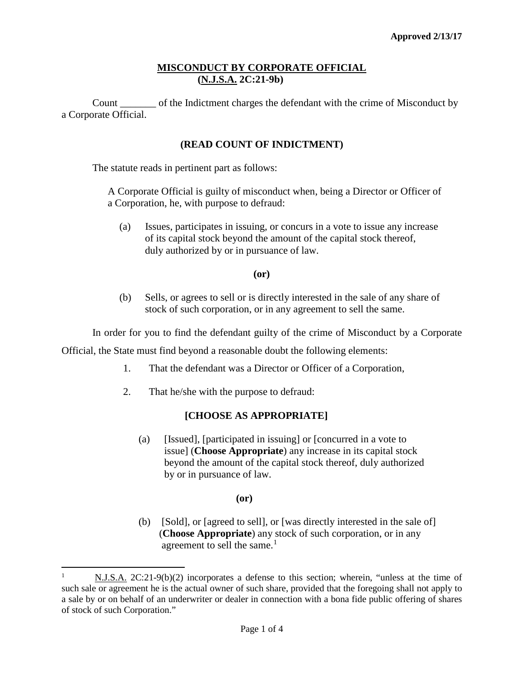# **MISCONDUCT BY CORPORATE OFFICIAL (N.J.S.A. 2C:21-9b)**

Count \_\_\_\_\_\_\_ of the Indictment charges the defendant with the crime of Misconduct by a Corporate Official.

# **(READ COUNT OF INDICTMENT)**

The statute reads in pertinent part as follows:

A Corporate Official is guilty of misconduct when, being a Director or Officer of a Corporation, he, with purpose to defraud:

(a) Issues, participates in issuing, or concurs in a vote to issue any increase of its capital stock beyond the amount of the capital stock thereof, duly authorized by or in pursuance of law.

**(or)**

(b) Sells, or agrees to sell or is directly interested in the sale of any share of stock of such corporation, or in any agreement to sell the same.

In order for you to find the defendant guilty of the crime of Misconduct by a Corporate

Official, the State must find beyond a reasonable doubt the following elements:

- 1. That the defendant was a Director or Officer of a Corporation,
- 2. That he/she with the purpose to defraud:

# **[CHOOSE AS APPROPRIATE]**

(a) [Issued], [participated in issuing] or [concurred in a vote to issue] (**Choose Appropriate**) any increase in its capital stock beyond the amount of the capital stock thereof, duly authorized by or in pursuance of law.

#### **(or)**

(b) [Sold], or [agreed to sell], or [was directly interested in the sale of] (**Choose Appropriate**) any stock of such corporation, or in any agreement to sell the same. $<sup>1</sup>$  $<sup>1</sup>$  $<sup>1</sup>$ </sup>

<span id="page-0-0"></span> $\frac{1}{1}$  N.J.S.A. 2C:21-9(b)(2) incorporates a defense to this section; wherein, "unless at the time of such sale or agreement he is the actual owner of such share, provided that the foregoing shall not apply to a sale by or on behalf of an underwriter or dealer in connection with a bona fide public offering of shares of stock of such Corporation."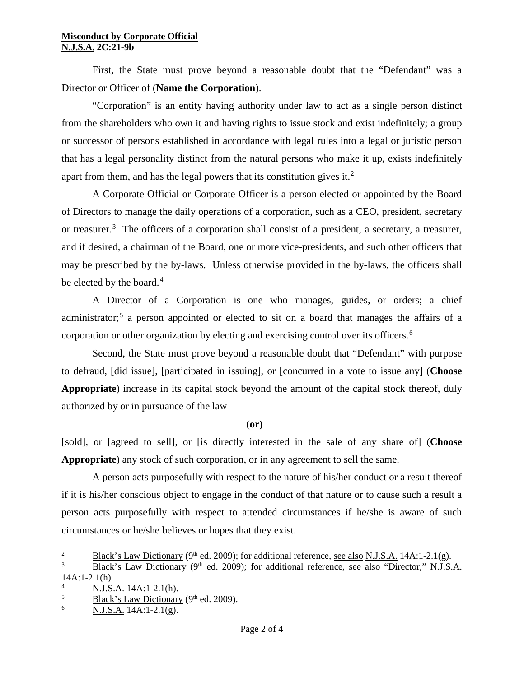#### **Misconduct by Corporate Official N.J.S.A. 2C:21-9b**

First, the State must prove beyond a reasonable doubt that the "Defendant" was a Director or Officer of (**Name the Corporation**).

"Corporation" is an entity having authority under law to act as a single person distinct from the shareholders who own it and having rights to issue stock and exist indefinitely; a group or successor of persons established in accordance with legal rules into a legal or juristic person that has a legal personality distinct from the natural persons who make it up, exists indefinitely apart from them, and has the legal powers that its constitution gives it.<sup>[2](#page-1-0)</sup>

A Corporate Official or Corporate Officer is a person elected or appointed by the Board of Directors to manage the daily operations of a corporation, such as a CEO, president, secretary or treasurer.[3](#page-1-1) The officers of a corporation shall consist of a president, a secretary, a treasurer, and if desired, a chairman of the Board, one or more vice-presidents, and such other officers that may be prescribed by the by-laws. Unless otherwise provided in the by-laws, the officers shall be elected by the board.<sup>[4](#page-1-2)</sup>

A Director of a Corporation is one who manages, guides, or orders; a chief administrator;<sup>[5](#page-1-3)</sup> a person appointed or elected to sit on a board that manages the affairs of a corporation or other organization by electing and exercising control over its officers.<sup>[6](#page-1-4)</sup>

Second, the State must prove beyond a reasonable doubt that "Defendant" with purpose to defraud, [did issue], [participated in issuing], or [concurred in a vote to issue any] (**Choose Appropriate**) increase in its capital stock beyond the amount of the capital stock thereof, duly authorized by or in pursuance of the law

### (**or)**

[sold], or [agreed to sell], or [is directly interested in the sale of any share of] (**Choose Appropriate**) any stock of such corporation, or in any agreement to sell the same.

A person acts purposefully with respect to the nature of his/her conduct or a result thereof if it is his/her conscious object to engage in the conduct of that nature or to cause such a result a person acts purposefully with respect to attended circumstances if he/she is aware of such circumstances or he/she believes or hopes that they exist.

 $\frac{1}{2}$ <sup>2</sup> Black's Law Dictionary (9<sup>th</sup> ed. 2009); for additional reference, see also N.J.S.A. 14A:1-2.1(g).

<span id="page-1-1"></span><span id="page-1-0"></span><sup>3</sup> Black's Law Dictionary (9<sup>th</sup> ed. 2009); for additional reference, see also "Director," N.J.S.A. 14A:1-2.1(h).

<span id="page-1-2"></span><sup>4</sup>  $\frac{1}{5}$  N.J.S.A. 14A:1-2.1(h).

<span id="page-1-3"></span><sup>&</sup>lt;sup>5</sup><br>Black's Law Dictionary (9<sup>th</sup> ed. 2009).<br>N I S A 14A 1.2 1(a)

<span id="page-1-4"></span><sup>6</sup> N.J.S.A. 14A:1-2.1(g).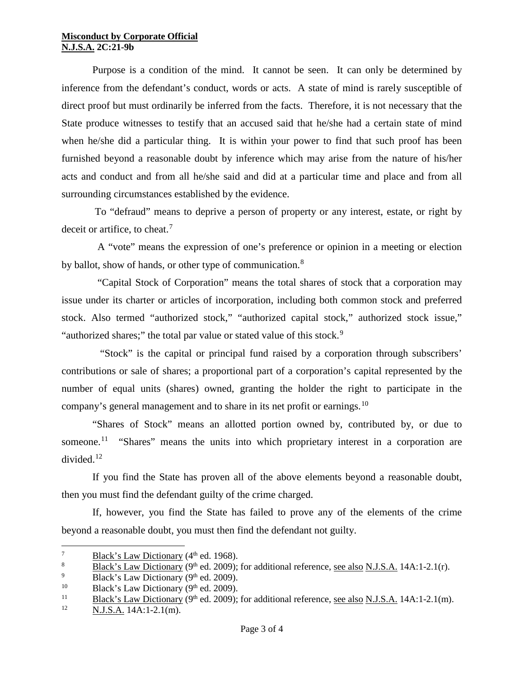#### **Misconduct by Corporate Official N.J.S.A. 2C:21-9b**

Purpose is a condition of the mind. It cannot be seen. It can only be determined by inference from the defendant's conduct, words or acts. A state of mind is rarely susceptible of direct proof but must ordinarily be inferred from the facts. Therefore, it is not necessary that the State produce witnesses to testify that an accused said that he/she had a certain state of mind when he/she did a particular thing. It is within your power to find that such proof has been furnished beyond a reasonable doubt by inference which may arise from the nature of his/her acts and conduct and from all he/she said and did at a particular time and place and from all surrounding circumstances established by the evidence.

To "defraud" means to deprive a person of property or any interest, estate, or right by deceit or artifice, to cheat.<sup>[7](#page-2-0)</sup>

 A "vote" means the expression of one's preference or opinion in a meeting or election by ballot, show of hands, or other type of communication.<sup>[8](#page-2-1)</sup>

 "Capital Stock of Corporation" means the total shares of stock that a corporation may issue under its charter or articles of incorporation, including both common stock and preferred stock. Also termed "authorized stock," "authorized capital stock," authorized stock issue," "authorized shares;" the total par value or stated value of this stock.<sup>[9](#page-2-2)</sup>

 "Stock" is the capital or principal fund raised by a corporation through subscribers' contributions or sale of shares; a proportional part of a corporation's capital represented by the number of equal units (shares) owned, granting the holder the right to participate in the company's general management and to share in its net profit or earnings.<sup>[10](#page-2-3)</sup>

"Shares of Stock" means an allotted portion owned by, contributed by, or due to someone.<sup>[11](#page-2-4)</sup> "Shares" means the units into which proprietary interest in a corporation are divided. $12$ 

If you find the State has proven all of the above elements beyond a reasonable doubt, then you must find the defendant guilty of the crime charged.

If, however, you find the State has failed to prove any of the elements of the crime beyond a reasonable doubt, you must then find the defendant not guilty.

<span id="page-2-0"></span><sup>&</sup>lt;sup>7</sup> Black's Law Dictionary (4<sup>th</sup> ed. 1968).<br><sup>8</sup> Black's Law Dictionary (9<sup>th</sup> ed. 2009):

<span id="page-2-1"></span><sup>&</sup>lt;sup>8</sup> Black's Law Dictionary (9<sup>th</sup> ed. 2009); for additional reference, <u>see also N.J.S.A.</u> 14A:1-2.1(r).

<span id="page-2-2"></span><sup>&</sup>lt;sup>9</sup> Black's Law Dictionary (9<sup>th</sup> ed. 2009).<br><sup>10</sup> Black's Law Dictionary (9<sup>th</sup> ed. 2009).

<span id="page-2-3"></span><sup>&</sup>lt;sup>10</sup> Black's Law Dictionary (9<sup>th</sup> ed. 2009).<br><sup>11</sup> Black's Law Dictionary (9<sup>th</sup> ed. 2009):

<span id="page-2-4"></span> $\frac{11}{12}$  Black's Law Dictionary (9<sup>th</sup> ed. 2009); for additional reference, <u>see also N.J.S.A.</u> 14A:1-2.1(m).

<span id="page-2-5"></span><sup>12</sup> N.J.S.A. 14A:1-2.1(m).